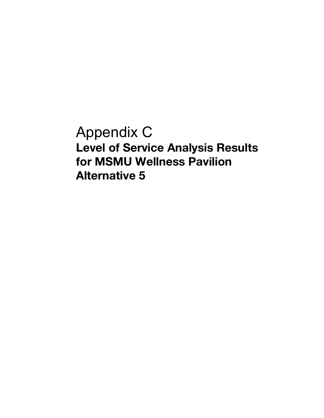Appendix C **Level of Service Analysis Results for MSMU Wellness Pavilion Alternative 5**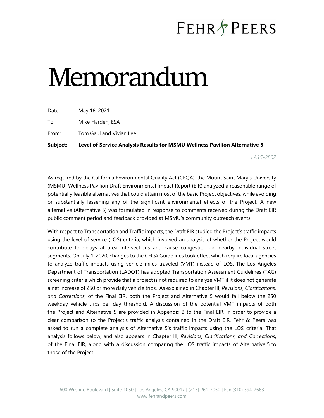## **FEHR&PEERS**

*LA15-2802* 

## Memorandum

| Subject: | Level of Service Analysis Results for MSMU Wellness Pavilion Alternative 5 |
|----------|----------------------------------------------------------------------------|
| From:    | Tom Gaul and Vivian Lee                                                    |
| To:      | Mike Harden, ESA                                                           |
| Date:    | May 18, 2021                                                               |

As required by the California Environmental Quality Act (CEQA), the Mount Saint Mary's University (MSMU) Wellness Pavilion Draft Environmental Impact Report (EIR) analyzed a reasonable range of potentially feasible alternatives that could attain most of the basic Project objectives, while avoiding or substantially lessening any of the significant environmental effects of the Project. A new alternative (Alternative 5) was formulated in response to comments received during the Draft EIR public comment period and feedback provided at MSMU's community outreach events.

With respect to Transportation and Traffic impacts, the Draft EIR studied the Project's traffic impacts using the level of service (LOS) criteria, which involved an analysis of whether the Project would contribute to delays at area intersections and cause congestion on nearby individual street segments. On July 1, 2020, changes to the CEQA Guidelines took effect which require local agencies to analyze traffic impacts using vehicle miles traveled (VMT) instead of LOS. The Los Angeles Department of Transportation (LADOT) has adopted Transportation Assessment Guidelines (TAG) screening criteria which provide that a project is not required to analyze VMT if it does not generate a net increase of 250 or more daily vehicle trips. As explained in Chapter III, *Revisions, Clarifications, and Corrections*, of the Final EIR, both the Project and Alternative 5 would fall below the 250 weekday vehicle trips per day threshold. A discussion of the potential VMT impacts of both the Project and Alternative 5 are provided in Appendix B to the Final EIR. In order to provide a clear comparison to the Project's traffic analysis contained in the Draft EIR, Fehr & Peers was asked to run a complete analysis of Alternative 5's traffic impacts using the LOS criteria. That analysis follows below, and also appears in Chapter III, *Revisions, Clarifications, and Corrections*, of the Final EIR, along with a discussion comparing the LOS traffic impacts of Alternative 5 to those of the Project.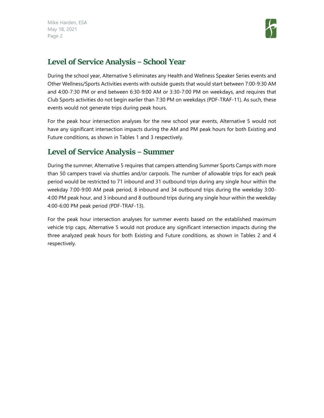

## **Level of Service Analysis – School Year**

During the school year, Alternative 5 eliminates any Health and Wellness Speaker Series events and Other Wellness/Sports Activities events with outside guests that would start between 7:00-9:30 AM and 4:00-7:30 PM or end between 6:30-9:00 AM or 3:30-7:00 PM on weekdays, and requires that Club Sports activities do not begin earlier than 7:30 PM on weekdays (PDF-TRAF-11). As such, these events would not generate trips during peak hours.

For the peak hour intersection analyses for the new school year events, Alternative 5 would not have any significant intersection impacts during the AM and PM peak hours for both Existing and Future conditions, as shown in Tables 1 and 3 respectively.

## **Level of Service Analysis – Summer**

During the summer, Alternative 5 requires that campers attending Summer Sports Camps with more than 50 campers travel via shuttles and/or carpools. The number of allowable trips for each peak period would be restricted to 71 inbound and 31 outbound trips during any single hour within the weekday 7:00-9:00 AM peak period, 8 inbound and 34 outbound trips during the weekday 3:00- 4:00 PM peak hour, and 3 inbound and 8 outbound trips during any single hour within the weekday 4:00-6:00 PM peak period (PDF-TRAF-13).

For the peak hour intersection analyses for summer events based on the established maximum vehicle trip caps, Alternative 5 would not produce any significant intersection impacts during the three analyzed peak hours for both Existing and Future conditions, as shown in Tables 2 and 4 respectively.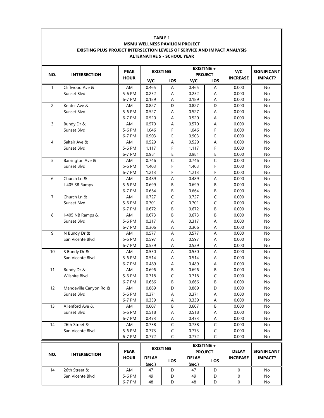| <b>EXISTING +</b><br>V/C<br><b>PEAK</b><br><b>EXISTING</b><br>NO.<br><b>PROJECT</b><br><b>INTERSECTION</b><br><b>HOUR</b><br><b>INCREASE</b><br>V/C<br>V/C<br><b>LOS</b><br><b>LOS</b><br>$\mathbf{1}$<br>Cliffwood Ave &<br>AM<br>0.465<br>0.465<br>Α<br>0.000<br>No<br>Α<br>Sunset Blvd<br>5-6 PM<br>0.252<br>0.252<br>Α<br>0.000<br>No<br>A<br>6-7 PM<br>0.189<br>0.189<br>0.000<br>Α<br>No<br>Α<br>$\overline{c}$<br>D<br>0.827<br>D<br>Kenter Ave &<br>AM<br>0.827<br>0.000<br>No<br>5-6 PM<br>0.527<br>0.527<br>A<br>0.000<br>Sunset Blvd<br>Α<br>No<br>0.520<br>0.520<br>0.000<br>6-7 PM<br>Α<br>No<br>Α<br>3<br>A<br>Bundy Dr &<br>AM<br>0.570<br>A<br>0.570<br>0.000<br>No<br>1.046<br>Sunset Blvd<br>5-6 PM<br>1.046<br>F<br>0.000<br>No<br>F<br>E<br>0.903<br>E<br>6-7 PM<br>0.903<br>0.000<br>No<br>A<br>4<br>Saltair Ave &<br>AM<br>0.529<br>A<br>0.529<br>0.000<br>No<br>F<br>5-6 PM<br>1.117<br>F<br>1.117<br>0.000<br>No<br>Sunset Blvd<br>E<br>Ε<br>6-7 PM<br>0.981<br>0.981<br>0.000<br>No<br>$\overline{C}$<br>5<br>$\mathsf C$<br>Barrington Ave &<br>No<br>AM<br>0.746<br>0.746<br>0.000<br>F<br>F<br>5-6 PM<br>1.403<br>1.403<br>0.000<br>Sunset Blvd<br>No<br>F<br>F<br>6-7 PM<br>1.213<br>1.213<br>0.000<br>No<br>6<br>Church Ln &<br>A<br>AM<br>0.489<br>A<br>0.489<br>0.000<br>No<br>0.699<br>$\sf B$<br>I-405 SB Ramps<br>5-6 PM<br>0.699<br>0.000<br>В<br>No<br>6-7 PM<br>0.664<br>0.664<br>В<br>0.000<br>В<br>No<br>$\mathsf C$<br>$\overline{7}$<br>Church Ln &<br>0.727<br>$\mathsf C$<br>0.727<br>0.000<br>AM<br>No<br>Sunset Blvd<br>5-6 PM<br>0.701<br>C<br>0.701<br>C<br>0.000<br>No<br>0.672<br>В<br>0.672<br>В<br>0.000<br>6-7 PM<br>No<br>8<br>B<br>$\sf B$<br>I-405 NB Ramps &<br>0.673<br>0.673<br>0.000<br>AM<br>No<br>Sunset Blvd<br>5-6 PM<br>0.317<br>0.317<br>0.000<br>Α<br>Α<br>No<br>6-7 PM<br>0.306<br>0.306<br>Α<br>0.000<br>No<br>Α<br>9<br>N Bundy Dr &<br>AM<br>0.577<br>A<br>0.577<br>A<br>0.000<br>No<br>San Vicente Blvd<br>5-6 PM<br>0.597<br>0.597<br>Α<br>0.000<br>No<br>Α<br>0.539<br>6-7 PM<br>0.539<br>0.000<br>No<br>Α<br>Α<br>S Bundy Dr &<br>10<br>0.550<br>A<br>AM<br>Α<br>0.550<br>0.000<br>No<br>5-6 PM<br>0.514<br>0.514<br>A<br>0.000<br>San Vicente Blvd<br>Α<br>No<br>0.489<br>0.000<br>6-7 PM<br>0.489<br>Α<br>No<br>Α<br>B<br>B<br>Bundy Dr &<br>0.696<br>11<br>AM<br>0.696<br>0.000<br>No<br><b>Wilshire Blvd</b><br>5-6 PM<br>0.718<br>0.718<br>C<br>0.000<br>C<br>No<br>6-7 PM<br>0.666<br>0.666<br>В<br>0.000<br>В<br>No<br>Mandeville Canyon Rd &<br>12<br>0.869<br>D<br>0.869<br>D<br>0.000<br>No<br>AM<br>Sunset Blvd<br>5-6 PM<br>0.371<br>0.371<br>0.000<br>No<br>Α<br>Α<br>0.339<br>0.339<br>0.000<br>6-7 PM<br>No<br>Α<br>Α<br>Allenford Ave &<br>13<br>0.607<br>B<br>0.607<br>B<br>0.000<br>No<br>AM<br>Sunset Blvd<br>5-6 PM<br>0.518<br>0.518<br>0.000<br>Α<br>No<br>Α<br>6-7 PM<br>0.473<br>0.473<br>0.000<br>Α<br>А<br>No<br>$\overline{C}$<br>$\mathsf C$<br>26th Street &<br>14<br>0.738<br>0.738<br>0.000<br>No<br>AM<br>5-6 PM<br>$\mathsf C$<br>0.773<br>$\mathsf C$<br>0.773<br>0.000<br>San Vicente Blvd<br>No<br>0.772<br>C<br>0.772<br>C<br>0.000<br>6-7 PM<br>No<br><b>EXISTING +</b><br><b>EXISTING</b><br><b>PEAK</b><br><b>DELAY</b><br><b>PROJECT</b><br>NO.<br><b>INTERSECTION</b><br><b>HOUR</b><br><b>INCREASE</b><br><b>DELAY</b><br><b>DELAY</b><br><b>LOS</b><br><b>LOS</b><br>(sec.)<br>(sec.) | <b>MSMU WELLNESS PAVILION PROJECT</b><br><b>EXISTING PLUS PROJECT INTERSECTION LEVELS OF SERVICE AND IMPACT ANALYSIS</b><br><b>ALTERNATIVE 5 - SCHOOL YEAR</b> |  |  |  |  |  |  |  |                    |
|--------------------------------------------------------------------------------------------------------------------------------------------------------------------------------------------------------------------------------------------------------------------------------------------------------------------------------------------------------------------------------------------------------------------------------------------------------------------------------------------------------------------------------------------------------------------------------------------------------------------------------------------------------------------------------------------------------------------------------------------------------------------------------------------------------------------------------------------------------------------------------------------------------------------------------------------------------------------------------------------------------------------------------------------------------------------------------------------------------------------------------------------------------------------------------------------------------------------------------------------------------------------------------------------------------------------------------------------------------------------------------------------------------------------------------------------------------------------------------------------------------------------------------------------------------------------------------------------------------------------------------------------------------------------------------------------------------------------------------------------------------------------------------------------------------------------------------------------------------------------------------------------------------------------------------------------------------------------------------------------------------------------------------------------------------------------------------------------------------------------------------------------------------------------------------------------------------------------------------------------------------------------------------------------------------------------------------------------------------------------------------------------------------------------------------------------------------------------------------------------------------------------------------------------------------------------------------------------------------------------------------------------------------------------------------------------------------------------------------------------------------------------------------------------------------------------------------------------------------------------------------------------------------------------------------------------------------------------------------------------------------------------------------------------------------------------------------------------------------------------------------------------------------------------------------------------------------------------------------------------------------------------------------------------------------------------------------------------------------------------------------------------------------------|----------------------------------------------------------------------------------------------------------------------------------------------------------------|--|--|--|--|--|--|--|--------------------|
|                                                                                                                                                                                                                                                                                                                                                                                                                                                                                                                                                                                                                                                                                                                                                                                                                                                                                                                                                                                                                                                                                                                                                                                                                                                                                                                                                                                                                                                                                                                                                                                                                                                                                                                                                                                                                                                                                                                                                                                                                                                                                                                                                                                                                                                                                                                                                                                                                                                                                                                                                                                                                                                                                                                                                                                                                                                                                                                                                                                                                                                                                                                                                                                                                                                                                                                                                                                                              |                                                                                                                                                                |  |  |  |  |  |  |  | <b>SIGNIFICANT</b> |
|                                                                                                                                                                                                                                                                                                                                                                                                                                                                                                                                                                                                                                                                                                                                                                                                                                                                                                                                                                                                                                                                                                                                                                                                                                                                                                                                                                                                                                                                                                                                                                                                                                                                                                                                                                                                                                                                                                                                                                                                                                                                                                                                                                                                                                                                                                                                                                                                                                                                                                                                                                                                                                                                                                                                                                                                                                                                                                                                                                                                                                                                                                                                                                                                                                                                                                                                                                                                              |                                                                                                                                                                |  |  |  |  |  |  |  | <b>IMPACT?</b>     |
|                                                                                                                                                                                                                                                                                                                                                                                                                                                                                                                                                                                                                                                                                                                                                                                                                                                                                                                                                                                                                                                                                                                                                                                                                                                                                                                                                                                                                                                                                                                                                                                                                                                                                                                                                                                                                                                                                                                                                                                                                                                                                                                                                                                                                                                                                                                                                                                                                                                                                                                                                                                                                                                                                                                                                                                                                                                                                                                                                                                                                                                                                                                                                                                                                                                                                                                                                                                                              |                                                                                                                                                                |  |  |  |  |  |  |  |                    |
|                                                                                                                                                                                                                                                                                                                                                                                                                                                                                                                                                                                                                                                                                                                                                                                                                                                                                                                                                                                                                                                                                                                                                                                                                                                                                                                                                                                                                                                                                                                                                                                                                                                                                                                                                                                                                                                                                                                                                                                                                                                                                                                                                                                                                                                                                                                                                                                                                                                                                                                                                                                                                                                                                                                                                                                                                                                                                                                                                                                                                                                                                                                                                                                                                                                                                                                                                                                                              |                                                                                                                                                                |  |  |  |  |  |  |  |                    |
|                                                                                                                                                                                                                                                                                                                                                                                                                                                                                                                                                                                                                                                                                                                                                                                                                                                                                                                                                                                                                                                                                                                                                                                                                                                                                                                                                                                                                                                                                                                                                                                                                                                                                                                                                                                                                                                                                                                                                                                                                                                                                                                                                                                                                                                                                                                                                                                                                                                                                                                                                                                                                                                                                                                                                                                                                                                                                                                                                                                                                                                                                                                                                                                                                                                                                                                                                                                                              |                                                                                                                                                                |  |  |  |  |  |  |  |                    |
|                                                                                                                                                                                                                                                                                                                                                                                                                                                                                                                                                                                                                                                                                                                                                                                                                                                                                                                                                                                                                                                                                                                                                                                                                                                                                                                                                                                                                                                                                                                                                                                                                                                                                                                                                                                                                                                                                                                                                                                                                                                                                                                                                                                                                                                                                                                                                                                                                                                                                                                                                                                                                                                                                                                                                                                                                                                                                                                                                                                                                                                                                                                                                                                                                                                                                                                                                                                                              |                                                                                                                                                                |  |  |  |  |  |  |  |                    |
|                                                                                                                                                                                                                                                                                                                                                                                                                                                                                                                                                                                                                                                                                                                                                                                                                                                                                                                                                                                                                                                                                                                                                                                                                                                                                                                                                                                                                                                                                                                                                                                                                                                                                                                                                                                                                                                                                                                                                                                                                                                                                                                                                                                                                                                                                                                                                                                                                                                                                                                                                                                                                                                                                                                                                                                                                                                                                                                                                                                                                                                                                                                                                                                                                                                                                                                                                                                                              |                                                                                                                                                                |  |  |  |  |  |  |  |                    |
|                                                                                                                                                                                                                                                                                                                                                                                                                                                                                                                                                                                                                                                                                                                                                                                                                                                                                                                                                                                                                                                                                                                                                                                                                                                                                                                                                                                                                                                                                                                                                                                                                                                                                                                                                                                                                                                                                                                                                                                                                                                                                                                                                                                                                                                                                                                                                                                                                                                                                                                                                                                                                                                                                                                                                                                                                                                                                                                                                                                                                                                                                                                                                                                                                                                                                                                                                                                                              |                                                                                                                                                                |  |  |  |  |  |  |  |                    |
|                                                                                                                                                                                                                                                                                                                                                                                                                                                                                                                                                                                                                                                                                                                                                                                                                                                                                                                                                                                                                                                                                                                                                                                                                                                                                                                                                                                                                                                                                                                                                                                                                                                                                                                                                                                                                                                                                                                                                                                                                                                                                                                                                                                                                                                                                                                                                                                                                                                                                                                                                                                                                                                                                                                                                                                                                                                                                                                                                                                                                                                                                                                                                                                                                                                                                                                                                                                                              |                                                                                                                                                                |  |  |  |  |  |  |  |                    |
|                                                                                                                                                                                                                                                                                                                                                                                                                                                                                                                                                                                                                                                                                                                                                                                                                                                                                                                                                                                                                                                                                                                                                                                                                                                                                                                                                                                                                                                                                                                                                                                                                                                                                                                                                                                                                                                                                                                                                                                                                                                                                                                                                                                                                                                                                                                                                                                                                                                                                                                                                                                                                                                                                                                                                                                                                                                                                                                                                                                                                                                                                                                                                                                                                                                                                                                                                                                                              |                                                                                                                                                                |  |  |  |  |  |  |  |                    |
|                                                                                                                                                                                                                                                                                                                                                                                                                                                                                                                                                                                                                                                                                                                                                                                                                                                                                                                                                                                                                                                                                                                                                                                                                                                                                                                                                                                                                                                                                                                                                                                                                                                                                                                                                                                                                                                                                                                                                                                                                                                                                                                                                                                                                                                                                                                                                                                                                                                                                                                                                                                                                                                                                                                                                                                                                                                                                                                                                                                                                                                                                                                                                                                                                                                                                                                                                                                                              |                                                                                                                                                                |  |  |  |  |  |  |  |                    |
|                                                                                                                                                                                                                                                                                                                                                                                                                                                                                                                                                                                                                                                                                                                                                                                                                                                                                                                                                                                                                                                                                                                                                                                                                                                                                                                                                                                                                                                                                                                                                                                                                                                                                                                                                                                                                                                                                                                                                                                                                                                                                                                                                                                                                                                                                                                                                                                                                                                                                                                                                                                                                                                                                                                                                                                                                                                                                                                                                                                                                                                                                                                                                                                                                                                                                                                                                                                                              |                                                                                                                                                                |  |  |  |  |  |  |  |                    |
|                                                                                                                                                                                                                                                                                                                                                                                                                                                                                                                                                                                                                                                                                                                                                                                                                                                                                                                                                                                                                                                                                                                                                                                                                                                                                                                                                                                                                                                                                                                                                                                                                                                                                                                                                                                                                                                                                                                                                                                                                                                                                                                                                                                                                                                                                                                                                                                                                                                                                                                                                                                                                                                                                                                                                                                                                                                                                                                                                                                                                                                                                                                                                                                                                                                                                                                                                                                                              |                                                                                                                                                                |  |  |  |  |  |  |  |                    |
|                                                                                                                                                                                                                                                                                                                                                                                                                                                                                                                                                                                                                                                                                                                                                                                                                                                                                                                                                                                                                                                                                                                                                                                                                                                                                                                                                                                                                                                                                                                                                                                                                                                                                                                                                                                                                                                                                                                                                                                                                                                                                                                                                                                                                                                                                                                                                                                                                                                                                                                                                                                                                                                                                                                                                                                                                                                                                                                                                                                                                                                                                                                                                                                                                                                                                                                                                                                                              |                                                                                                                                                                |  |  |  |  |  |  |  |                    |
|                                                                                                                                                                                                                                                                                                                                                                                                                                                                                                                                                                                                                                                                                                                                                                                                                                                                                                                                                                                                                                                                                                                                                                                                                                                                                                                                                                                                                                                                                                                                                                                                                                                                                                                                                                                                                                                                                                                                                                                                                                                                                                                                                                                                                                                                                                                                                                                                                                                                                                                                                                                                                                                                                                                                                                                                                                                                                                                                                                                                                                                                                                                                                                                                                                                                                                                                                                                                              |                                                                                                                                                                |  |  |  |  |  |  |  |                    |
|                                                                                                                                                                                                                                                                                                                                                                                                                                                                                                                                                                                                                                                                                                                                                                                                                                                                                                                                                                                                                                                                                                                                                                                                                                                                                                                                                                                                                                                                                                                                                                                                                                                                                                                                                                                                                                                                                                                                                                                                                                                                                                                                                                                                                                                                                                                                                                                                                                                                                                                                                                                                                                                                                                                                                                                                                                                                                                                                                                                                                                                                                                                                                                                                                                                                                                                                                                                                              |                                                                                                                                                                |  |  |  |  |  |  |  |                    |
|                                                                                                                                                                                                                                                                                                                                                                                                                                                                                                                                                                                                                                                                                                                                                                                                                                                                                                                                                                                                                                                                                                                                                                                                                                                                                                                                                                                                                                                                                                                                                                                                                                                                                                                                                                                                                                                                                                                                                                                                                                                                                                                                                                                                                                                                                                                                                                                                                                                                                                                                                                                                                                                                                                                                                                                                                                                                                                                                                                                                                                                                                                                                                                                                                                                                                                                                                                                                              |                                                                                                                                                                |  |  |  |  |  |  |  |                    |
|                                                                                                                                                                                                                                                                                                                                                                                                                                                                                                                                                                                                                                                                                                                                                                                                                                                                                                                                                                                                                                                                                                                                                                                                                                                                                                                                                                                                                                                                                                                                                                                                                                                                                                                                                                                                                                                                                                                                                                                                                                                                                                                                                                                                                                                                                                                                                                                                                                                                                                                                                                                                                                                                                                                                                                                                                                                                                                                                                                                                                                                                                                                                                                                                                                                                                                                                                                                                              |                                                                                                                                                                |  |  |  |  |  |  |  |                    |
|                                                                                                                                                                                                                                                                                                                                                                                                                                                                                                                                                                                                                                                                                                                                                                                                                                                                                                                                                                                                                                                                                                                                                                                                                                                                                                                                                                                                                                                                                                                                                                                                                                                                                                                                                                                                                                                                                                                                                                                                                                                                                                                                                                                                                                                                                                                                                                                                                                                                                                                                                                                                                                                                                                                                                                                                                                                                                                                                                                                                                                                                                                                                                                                                                                                                                                                                                                                                              |                                                                                                                                                                |  |  |  |  |  |  |  |                    |
|                                                                                                                                                                                                                                                                                                                                                                                                                                                                                                                                                                                                                                                                                                                                                                                                                                                                                                                                                                                                                                                                                                                                                                                                                                                                                                                                                                                                                                                                                                                                                                                                                                                                                                                                                                                                                                                                                                                                                                                                                                                                                                                                                                                                                                                                                                                                                                                                                                                                                                                                                                                                                                                                                                                                                                                                                                                                                                                                                                                                                                                                                                                                                                                                                                                                                                                                                                                                              |                                                                                                                                                                |  |  |  |  |  |  |  |                    |
|                                                                                                                                                                                                                                                                                                                                                                                                                                                                                                                                                                                                                                                                                                                                                                                                                                                                                                                                                                                                                                                                                                                                                                                                                                                                                                                                                                                                                                                                                                                                                                                                                                                                                                                                                                                                                                                                                                                                                                                                                                                                                                                                                                                                                                                                                                                                                                                                                                                                                                                                                                                                                                                                                                                                                                                                                                                                                                                                                                                                                                                                                                                                                                                                                                                                                                                                                                                                              |                                                                                                                                                                |  |  |  |  |  |  |  |                    |
|                                                                                                                                                                                                                                                                                                                                                                                                                                                                                                                                                                                                                                                                                                                                                                                                                                                                                                                                                                                                                                                                                                                                                                                                                                                                                                                                                                                                                                                                                                                                                                                                                                                                                                                                                                                                                                                                                                                                                                                                                                                                                                                                                                                                                                                                                                                                                                                                                                                                                                                                                                                                                                                                                                                                                                                                                                                                                                                                                                                                                                                                                                                                                                                                                                                                                                                                                                                                              |                                                                                                                                                                |  |  |  |  |  |  |  |                    |
|                                                                                                                                                                                                                                                                                                                                                                                                                                                                                                                                                                                                                                                                                                                                                                                                                                                                                                                                                                                                                                                                                                                                                                                                                                                                                                                                                                                                                                                                                                                                                                                                                                                                                                                                                                                                                                                                                                                                                                                                                                                                                                                                                                                                                                                                                                                                                                                                                                                                                                                                                                                                                                                                                                                                                                                                                                                                                                                                                                                                                                                                                                                                                                                                                                                                                                                                                                                                              |                                                                                                                                                                |  |  |  |  |  |  |  |                    |
|                                                                                                                                                                                                                                                                                                                                                                                                                                                                                                                                                                                                                                                                                                                                                                                                                                                                                                                                                                                                                                                                                                                                                                                                                                                                                                                                                                                                                                                                                                                                                                                                                                                                                                                                                                                                                                                                                                                                                                                                                                                                                                                                                                                                                                                                                                                                                                                                                                                                                                                                                                                                                                                                                                                                                                                                                                                                                                                                                                                                                                                                                                                                                                                                                                                                                                                                                                                                              |                                                                                                                                                                |  |  |  |  |  |  |  |                    |
|                                                                                                                                                                                                                                                                                                                                                                                                                                                                                                                                                                                                                                                                                                                                                                                                                                                                                                                                                                                                                                                                                                                                                                                                                                                                                                                                                                                                                                                                                                                                                                                                                                                                                                                                                                                                                                                                                                                                                                                                                                                                                                                                                                                                                                                                                                                                                                                                                                                                                                                                                                                                                                                                                                                                                                                                                                                                                                                                                                                                                                                                                                                                                                                                                                                                                                                                                                                                              |                                                                                                                                                                |  |  |  |  |  |  |  |                    |
|                                                                                                                                                                                                                                                                                                                                                                                                                                                                                                                                                                                                                                                                                                                                                                                                                                                                                                                                                                                                                                                                                                                                                                                                                                                                                                                                                                                                                                                                                                                                                                                                                                                                                                                                                                                                                                                                                                                                                                                                                                                                                                                                                                                                                                                                                                                                                                                                                                                                                                                                                                                                                                                                                                                                                                                                                                                                                                                                                                                                                                                                                                                                                                                                                                                                                                                                                                                                              |                                                                                                                                                                |  |  |  |  |  |  |  |                    |
|                                                                                                                                                                                                                                                                                                                                                                                                                                                                                                                                                                                                                                                                                                                                                                                                                                                                                                                                                                                                                                                                                                                                                                                                                                                                                                                                                                                                                                                                                                                                                                                                                                                                                                                                                                                                                                                                                                                                                                                                                                                                                                                                                                                                                                                                                                                                                                                                                                                                                                                                                                                                                                                                                                                                                                                                                                                                                                                                                                                                                                                                                                                                                                                                                                                                                                                                                                                                              |                                                                                                                                                                |  |  |  |  |  |  |  |                    |
|                                                                                                                                                                                                                                                                                                                                                                                                                                                                                                                                                                                                                                                                                                                                                                                                                                                                                                                                                                                                                                                                                                                                                                                                                                                                                                                                                                                                                                                                                                                                                                                                                                                                                                                                                                                                                                                                                                                                                                                                                                                                                                                                                                                                                                                                                                                                                                                                                                                                                                                                                                                                                                                                                                                                                                                                                                                                                                                                                                                                                                                                                                                                                                                                                                                                                                                                                                                                              |                                                                                                                                                                |  |  |  |  |  |  |  |                    |
|                                                                                                                                                                                                                                                                                                                                                                                                                                                                                                                                                                                                                                                                                                                                                                                                                                                                                                                                                                                                                                                                                                                                                                                                                                                                                                                                                                                                                                                                                                                                                                                                                                                                                                                                                                                                                                                                                                                                                                                                                                                                                                                                                                                                                                                                                                                                                                                                                                                                                                                                                                                                                                                                                                                                                                                                                                                                                                                                                                                                                                                                                                                                                                                                                                                                                                                                                                                                              |                                                                                                                                                                |  |  |  |  |  |  |  |                    |
|                                                                                                                                                                                                                                                                                                                                                                                                                                                                                                                                                                                                                                                                                                                                                                                                                                                                                                                                                                                                                                                                                                                                                                                                                                                                                                                                                                                                                                                                                                                                                                                                                                                                                                                                                                                                                                                                                                                                                                                                                                                                                                                                                                                                                                                                                                                                                                                                                                                                                                                                                                                                                                                                                                                                                                                                                                                                                                                                                                                                                                                                                                                                                                                                                                                                                                                                                                                                              |                                                                                                                                                                |  |  |  |  |  |  |  |                    |
|                                                                                                                                                                                                                                                                                                                                                                                                                                                                                                                                                                                                                                                                                                                                                                                                                                                                                                                                                                                                                                                                                                                                                                                                                                                                                                                                                                                                                                                                                                                                                                                                                                                                                                                                                                                                                                                                                                                                                                                                                                                                                                                                                                                                                                                                                                                                                                                                                                                                                                                                                                                                                                                                                                                                                                                                                                                                                                                                                                                                                                                                                                                                                                                                                                                                                                                                                                                                              |                                                                                                                                                                |  |  |  |  |  |  |  |                    |
|                                                                                                                                                                                                                                                                                                                                                                                                                                                                                                                                                                                                                                                                                                                                                                                                                                                                                                                                                                                                                                                                                                                                                                                                                                                                                                                                                                                                                                                                                                                                                                                                                                                                                                                                                                                                                                                                                                                                                                                                                                                                                                                                                                                                                                                                                                                                                                                                                                                                                                                                                                                                                                                                                                                                                                                                                                                                                                                                                                                                                                                                                                                                                                                                                                                                                                                                                                                                              |                                                                                                                                                                |  |  |  |  |  |  |  |                    |
|                                                                                                                                                                                                                                                                                                                                                                                                                                                                                                                                                                                                                                                                                                                                                                                                                                                                                                                                                                                                                                                                                                                                                                                                                                                                                                                                                                                                                                                                                                                                                                                                                                                                                                                                                                                                                                                                                                                                                                                                                                                                                                                                                                                                                                                                                                                                                                                                                                                                                                                                                                                                                                                                                                                                                                                                                                                                                                                                                                                                                                                                                                                                                                                                                                                                                                                                                                                                              |                                                                                                                                                                |  |  |  |  |  |  |  |                    |
|                                                                                                                                                                                                                                                                                                                                                                                                                                                                                                                                                                                                                                                                                                                                                                                                                                                                                                                                                                                                                                                                                                                                                                                                                                                                                                                                                                                                                                                                                                                                                                                                                                                                                                                                                                                                                                                                                                                                                                                                                                                                                                                                                                                                                                                                                                                                                                                                                                                                                                                                                                                                                                                                                                                                                                                                                                                                                                                                                                                                                                                                                                                                                                                                                                                                                                                                                                                                              |                                                                                                                                                                |  |  |  |  |  |  |  |                    |
|                                                                                                                                                                                                                                                                                                                                                                                                                                                                                                                                                                                                                                                                                                                                                                                                                                                                                                                                                                                                                                                                                                                                                                                                                                                                                                                                                                                                                                                                                                                                                                                                                                                                                                                                                                                                                                                                                                                                                                                                                                                                                                                                                                                                                                                                                                                                                                                                                                                                                                                                                                                                                                                                                                                                                                                                                                                                                                                                                                                                                                                                                                                                                                                                                                                                                                                                                                                                              |                                                                                                                                                                |  |  |  |  |  |  |  |                    |
|                                                                                                                                                                                                                                                                                                                                                                                                                                                                                                                                                                                                                                                                                                                                                                                                                                                                                                                                                                                                                                                                                                                                                                                                                                                                                                                                                                                                                                                                                                                                                                                                                                                                                                                                                                                                                                                                                                                                                                                                                                                                                                                                                                                                                                                                                                                                                                                                                                                                                                                                                                                                                                                                                                                                                                                                                                                                                                                                                                                                                                                                                                                                                                                                                                                                                                                                                                                                              |                                                                                                                                                                |  |  |  |  |  |  |  |                    |
|                                                                                                                                                                                                                                                                                                                                                                                                                                                                                                                                                                                                                                                                                                                                                                                                                                                                                                                                                                                                                                                                                                                                                                                                                                                                                                                                                                                                                                                                                                                                                                                                                                                                                                                                                                                                                                                                                                                                                                                                                                                                                                                                                                                                                                                                                                                                                                                                                                                                                                                                                                                                                                                                                                                                                                                                                                                                                                                                                                                                                                                                                                                                                                                                                                                                                                                                                                                                              |                                                                                                                                                                |  |  |  |  |  |  |  |                    |
|                                                                                                                                                                                                                                                                                                                                                                                                                                                                                                                                                                                                                                                                                                                                                                                                                                                                                                                                                                                                                                                                                                                                                                                                                                                                                                                                                                                                                                                                                                                                                                                                                                                                                                                                                                                                                                                                                                                                                                                                                                                                                                                                                                                                                                                                                                                                                                                                                                                                                                                                                                                                                                                                                                                                                                                                                                                                                                                                                                                                                                                                                                                                                                                                                                                                                                                                                                                                              |                                                                                                                                                                |  |  |  |  |  |  |  |                    |
|                                                                                                                                                                                                                                                                                                                                                                                                                                                                                                                                                                                                                                                                                                                                                                                                                                                                                                                                                                                                                                                                                                                                                                                                                                                                                                                                                                                                                                                                                                                                                                                                                                                                                                                                                                                                                                                                                                                                                                                                                                                                                                                                                                                                                                                                                                                                                                                                                                                                                                                                                                                                                                                                                                                                                                                                                                                                                                                                                                                                                                                                                                                                                                                                                                                                                                                                                                                                              |                                                                                                                                                                |  |  |  |  |  |  |  |                    |
|                                                                                                                                                                                                                                                                                                                                                                                                                                                                                                                                                                                                                                                                                                                                                                                                                                                                                                                                                                                                                                                                                                                                                                                                                                                                                                                                                                                                                                                                                                                                                                                                                                                                                                                                                                                                                                                                                                                                                                                                                                                                                                                                                                                                                                                                                                                                                                                                                                                                                                                                                                                                                                                                                                                                                                                                                                                                                                                                                                                                                                                                                                                                                                                                                                                                                                                                                                                                              |                                                                                                                                                                |  |  |  |  |  |  |  |                    |
|                                                                                                                                                                                                                                                                                                                                                                                                                                                                                                                                                                                                                                                                                                                                                                                                                                                                                                                                                                                                                                                                                                                                                                                                                                                                                                                                                                                                                                                                                                                                                                                                                                                                                                                                                                                                                                                                                                                                                                                                                                                                                                                                                                                                                                                                                                                                                                                                                                                                                                                                                                                                                                                                                                                                                                                                                                                                                                                                                                                                                                                                                                                                                                                                                                                                                                                                                                                                              |                                                                                                                                                                |  |  |  |  |  |  |  |                    |
|                                                                                                                                                                                                                                                                                                                                                                                                                                                                                                                                                                                                                                                                                                                                                                                                                                                                                                                                                                                                                                                                                                                                                                                                                                                                                                                                                                                                                                                                                                                                                                                                                                                                                                                                                                                                                                                                                                                                                                                                                                                                                                                                                                                                                                                                                                                                                                                                                                                                                                                                                                                                                                                                                                                                                                                                                                                                                                                                                                                                                                                                                                                                                                                                                                                                                                                                                                                                              |                                                                                                                                                                |  |  |  |  |  |  |  |                    |
|                                                                                                                                                                                                                                                                                                                                                                                                                                                                                                                                                                                                                                                                                                                                                                                                                                                                                                                                                                                                                                                                                                                                                                                                                                                                                                                                                                                                                                                                                                                                                                                                                                                                                                                                                                                                                                                                                                                                                                                                                                                                                                                                                                                                                                                                                                                                                                                                                                                                                                                                                                                                                                                                                                                                                                                                                                                                                                                                                                                                                                                                                                                                                                                                                                                                                                                                                                                                              |                                                                                                                                                                |  |  |  |  |  |  |  | <b>SIGNIFICANT</b> |
|                                                                                                                                                                                                                                                                                                                                                                                                                                                                                                                                                                                                                                                                                                                                                                                                                                                                                                                                                                                                                                                                                                                                                                                                                                                                                                                                                                                                                                                                                                                                                                                                                                                                                                                                                                                                                                                                                                                                                                                                                                                                                                                                                                                                                                                                                                                                                                                                                                                                                                                                                                                                                                                                                                                                                                                                                                                                                                                                                                                                                                                                                                                                                                                                                                                                                                                                                                                                              |                                                                                                                                                                |  |  |  |  |  |  |  | <b>IMPACT?</b>     |
| 26th Street &<br>AM<br>$\pmb{0}$<br>14<br>47<br>D<br>D<br>No<br>47                                                                                                                                                                                                                                                                                                                                                                                                                                                                                                                                                                                                                                                                                                                                                                                                                                                                                                                                                                                                                                                                                                                                                                                                                                                                                                                                                                                                                                                                                                                                                                                                                                                                                                                                                                                                                                                                                                                                                                                                                                                                                                                                                                                                                                                                                                                                                                                                                                                                                                                                                                                                                                                                                                                                                                                                                                                                                                                                                                                                                                                                                                                                                                                                                                                                                                                                           |                                                                                                                                                                |  |  |  |  |  |  |  |                    |
| 5-6 PM<br>49<br>49<br>No<br>San Vicente Blvd<br>D<br>0<br>D                                                                                                                                                                                                                                                                                                                                                                                                                                                                                                                                                                                                                                                                                                                                                                                                                                                                                                                                                                                                                                                                                                                                                                                                                                                                                                                                                                                                                                                                                                                                                                                                                                                                                                                                                                                                                                                                                                                                                                                                                                                                                                                                                                                                                                                                                                                                                                                                                                                                                                                                                                                                                                                                                                                                                                                                                                                                                                                                                                                                                                                                                                                                                                                                                                                                                                                                                  |                                                                                                                                                                |  |  |  |  |  |  |  |                    |
| 48<br>48<br>6-7 PM<br>D<br>D<br>0<br>No                                                                                                                                                                                                                                                                                                                                                                                                                                                                                                                                                                                                                                                                                                                                                                                                                                                                                                                                                                                                                                                                                                                                                                                                                                                                                                                                                                                                                                                                                                                                                                                                                                                                                                                                                                                                                                                                                                                                                                                                                                                                                                                                                                                                                                                                                                                                                                                                                                                                                                                                                                                                                                                                                                                                                                                                                                                                                                                                                                                                                                                                                                                                                                                                                                                                                                                                                                      |                                                                                                                                                                |  |  |  |  |  |  |  |                    |

**TABLE 1**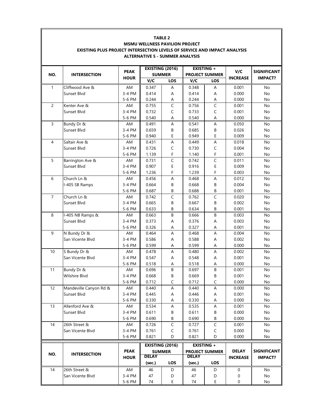| <b>MSMU WELLNESS PAVILION PROJECT</b><br><b>EXISTING PLUS PROJECT INTERSECTION LEVELS OF SERVICE AND IMPACT ANALYSIS</b><br><b>ALTERNATIVE 5 - SUMMER ANALYSIS</b> |                                                                                                      |                                  |                                  |                                                |                                  |                                                          |                                  |                                      |  |
|--------------------------------------------------------------------------------------------------------------------------------------------------------------------|------------------------------------------------------------------------------------------------------|----------------------------------|----------------------------------|------------------------------------------------|----------------------------------|----------------------------------------------------------|----------------------------------|--------------------------------------|--|
|                                                                                                                                                                    | <b>EXISTING +</b><br><b>EXISTING (2016)</b><br><b>PEAK</b><br><b>SUMMER</b><br><b>PROJECT SUMMER</b> |                                  |                                  |                                                |                                  |                                                          | V/C                              | <b>SIGNIFICANT</b>                   |  |
| NO.                                                                                                                                                                | <b>INTERSECTION</b>                                                                                  | <b>HOUR</b>                      | V/C                              | LOS                                            | V/C                              | <b>LOS</b>                                               | <b>INCREASE</b>                  | <b>IMPACT?</b>                       |  |
| $\mathbf{1}$                                                                                                                                                       | Cliffwood Ave &<br>Sunset Blvd                                                                       | AM<br>3-4 PM                     | 0.347<br>0.414                   | Α<br>Α                                         | 0.348<br>0.414                   | Α<br>А                                                   | 0.001<br>0.000                   | No<br>No                             |  |
| $\overline{2}$                                                                                                                                                     | Kenter Ave &                                                                                         | 5-6 PM<br>AM                     | 0.244<br>0.755                   | А<br>$\overline{C}$                            | 0.244<br>0.756                   | Α<br>$\mathsf C$                                         | 0.000<br>0.001                   | No<br>No                             |  |
|                                                                                                                                                                    | Sunset Blvd                                                                                          | 3-4 PM<br>5-6 PM                 | 0.732<br>0.540                   | $\mathsf C$<br>Α                               | 0.733<br>0.540                   | $\mathsf C$<br>А                                         | 0.001<br>0.000                   | No<br>No                             |  |
| $\overline{3}$                                                                                                                                                     | Bundy Dr &<br>Sunset Blvd                                                                            | AM<br>3-4 PM                     | 0.491<br>0.659                   | $\mathsf A$<br>В                               | 0.541<br>0.685                   | A<br>В                                                   | 0.050<br>0.026                   | No<br>No                             |  |
| $\overline{4}$                                                                                                                                                     | Saltair Ave &                                                                                        | 5-6 PM<br>AM                     | 0.940<br>0.431                   | E<br>A                                         | 0.949<br>0.449                   | E<br>A                                                   | 0.009<br>0.018                   | No<br>No                             |  |
|                                                                                                                                                                    | Sunset Blvd                                                                                          | 3-4 PM<br>5-6 PM                 | 0.726<br>1.139                   | $\mathsf C$<br>F                               | 0.730<br>1.140                   | $\mathsf C$<br>F                                         | 0.004<br>0.001                   | No<br>No                             |  |
| 5                                                                                                                                                                  | Barrington Ave &<br>Sunset Blvd                                                                      | AM<br>3-4 PM                     | 0.731<br>0.907                   | $\overline{C}$<br>E                            | 0.742<br>0.916                   | $\overline{C}$<br>E                                      | 0.011<br>0.009                   | No<br>No                             |  |
| 6                                                                                                                                                                  | Church Ln &                                                                                          | 5-6 PM<br>AM                     | 1.236<br>0.456                   | F<br>A                                         | 1.239<br>0.468                   | F<br>A                                                   | 0.003<br>0.012                   | No<br>No                             |  |
|                                                                                                                                                                    | I-405 SB Ramps                                                                                       | 3-4 PM<br>5-6 PM                 | 0.664<br>0.687                   | B<br>В                                         | 0.668<br>0.688                   | В<br>В                                                   | 0.004<br>0.001                   | No<br>No                             |  |
| $\overline{7}$                                                                                                                                                     | Church Ln &<br>Sunset Blvd                                                                           | AM<br>3-4 PM                     | 0.742<br>0.665                   | $\mathsf{C}$<br>B                              | 0.762<br>0.667                   | C<br>В                                                   | 0.020<br>0.002                   | No<br>No                             |  |
| 8                                                                                                                                                                  | I-405 NB Ramps &<br>Sunset Blvd                                                                      | 5-6 PM<br>AM<br>3-4 PM           | 0.633<br>0.663<br>0.373          | В<br>B<br>Α                                    | 0.634<br>0.666<br>0.376          | В<br>B<br>А                                              | 0.001<br>0.003<br>0.003          | No<br>No<br>No                       |  |
| 9                                                                                                                                                                  | N Bundy Dr &                                                                                         | 5-6 PM<br>AM                     | 0.326<br>0.464                   | Α<br>A                                         | 0.327<br>0.468                   | Α<br>Α                                                   | 0.001<br>0.004                   | No<br>No                             |  |
|                                                                                                                                                                    | San Vicente Blvd                                                                                     | 3-4 PM<br>5-6 PM                 | 0.586<br>0.599                   | Α<br>Α                                         | 0.588<br>0.599                   | А<br>Α                                                   | 0.002<br>0.000                   | No<br>No                             |  |
| 10                                                                                                                                                                 | S Bundy Dr &<br>San Vicente Blvd                                                                     | AM<br>3-4 PM<br>5-6 PM           | 0.478<br>0.547<br>0.518          | A<br>A<br>A                                    | 0.480<br>0.548<br>0.518          | A<br>Α<br>А                                              | 0.002<br>0.001<br>0.000          | No<br>No<br>No                       |  |
| 11                                                                                                                                                                 | Bundy Dr &<br>Wilshire Blvd                                                                          | AM<br>3-4 PM<br>5-6 PM           | 0.696<br>0.668<br>0.712          | B<br>В<br>$\mathsf C$                          | 0.697<br>0.669<br>0.712          | B<br>В<br>C                                              | 0.001<br>0.001<br>0.000          | No<br>No<br>No                       |  |
| 12                                                                                                                                                                 | Mandeville Canyon Rd &<br>Sunset Blvd                                                                | AM<br>3-4 PM<br>5-6 PM           | 0.440<br>0.445                   | Α<br>Α                                         | 0.440<br>0.446                   | Α<br>Α                                                   | 0.000<br>0.001<br>0.000          | No<br>No                             |  |
| 13                                                                                                                                                                 | Allenford Ave &<br>Sunset Blvd                                                                       | AM<br>3-4 PM                     | 0.330<br>0.534<br>0.611          | А<br>Α<br>В                                    | 0.330<br>0.535<br>0.611          | Α<br>Α<br>В                                              | 0.001<br>0.000                   | No<br>No<br>No                       |  |
| 14                                                                                                                                                                 | 26th Street &<br>San Vicente Blvd                                                                    | 5-6 PM<br>AM<br>3-4 PM<br>5-6 PM | 0.690<br>0.726<br>0.761<br>0.821 | B<br>$\mathsf C$<br>C<br>D                     | 0.690<br>0.727<br>0.761<br>0.821 | В<br>$\mathsf C$<br>C<br>D                               | 0.000<br>0.001<br>0.000<br>0.000 | No<br>No<br>No<br>No                 |  |
| NO.                                                                                                                                                                | <b>INTERSECTION</b>                                                                                  | <b>PEAK</b><br><b>HOUR</b>       | DELAY<br>(sec.)                  | <b>EXISTING (2016)</b><br><b>SUMMER</b><br>LOS | <b>DELAY</b><br>(sec.)           | <b>EXISTING +</b><br><b>PROJECT SUMMER</b><br><b>LOS</b> | <b>DELAY</b><br><b>INCREASE</b>  | <b>SIGNIFICANT</b><br><b>IMPACT?</b> |  |
| 14                                                                                                                                                                 | 26th Street &<br>San Vicente Blvd                                                                    | AM<br>3-4 PM                     | 46<br>47                         | D<br>D                                         | 46<br>47                         | D<br>D                                                   | 0<br>0                           | No<br>No                             |  |
|                                                                                                                                                                    |                                                                                                      | 5-6 PM                           | 74                               | E                                              | 74                               | Ε                                                        | 0                                | No                                   |  |

**TABLE 2**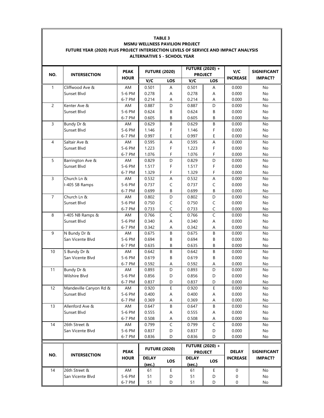|                | <b>TABLE 3</b><br>MSMU WELLNESS PAVILION PROJECT<br>FUTURE YEAR (2020) PLUS PROJECT INTERSECTION LEVELS OF SERVICE AND IMPACT ANALYSIS<br><b>ALTERNATIVE 5 - SCHOOL YEAR</b> |                            |                      |             |                                          |                |                 |                    |  |  |  |
|----------------|------------------------------------------------------------------------------------------------------------------------------------------------------------------------------|----------------------------|----------------------|-------------|------------------------------------------|----------------|-----------------|--------------------|--|--|--|
| NO.            | <b>INTERSECTION</b>                                                                                                                                                          | <b>PEAK</b><br><b>HOUR</b> | <b>FUTURE (2020)</b> |             | <b>FUTURE (2020) +</b><br><b>PROJECT</b> |                | V/C             | <b>SIGNIFICANT</b> |  |  |  |
|                |                                                                                                                                                                              |                            | V/C                  | LOS         | V/C                                      | LOS            | <b>INCREASE</b> | <b>IMPACT?</b>     |  |  |  |
| $\mathbf{1}$   | Cliffwood Ave &                                                                                                                                                              | AM                         | 0.501                | Α           | 0.501                                    | Α              | 0.000           | No                 |  |  |  |
|                | Sunset Blvd                                                                                                                                                                  | 5-6 PM                     | 0.278                | Α           | 0.278                                    | Α              | 0.000           | No                 |  |  |  |
|                |                                                                                                                                                                              | 6-7 PM                     | 0.214                | Α           | 0.214                                    | Α              | 0.000           | No                 |  |  |  |
| $\overline{c}$ | Kenter Ave &                                                                                                                                                                 | AM                         | 0.887                | D           | 0.887                                    | D              | 0.000           | <b>No</b>          |  |  |  |
|                | Sunset Blvd                                                                                                                                                                  | 5-6 PM                     | 0.624                | В           | 0.624                                    | В              | 0.000           | No                 |  |  |  |
|                |                                                                                                                                                                              | 6-7 PM                     | 0.605                | B           | 0.605                                    | В              | 0.000           | No                 |  |  |  |
| 3              | Bundy Dr &                                                                                                                                                                   | AM                         | 0.629                | $\sf B$     | 0.629                                    | B              | 0.000           | No                 |  |  |  |
|                | Sunset Blvd                                                                                                                                                                  | 5-6 PM                     | 1.146                | F           | 1.146                                    | F              | 0.000           | No                 |  |  |  |
|                |                                                                                                                                                                              | 6-7 PM                     | 0.997                | Е           | 0.997                                    | E              | 0.000           | No                 |  |  |  |
| $\overline{4}$ | Saltair Ave &                                                                                                                                                                | AM                         | 0.595                | A           | 0.595                                    | A              | 0.000           | <b>No</b>          |  |  |  |
|                | Sunset Blvd                                                                                                                                                                  | 5-6 PM                     | 1.223                | F           | 1.223                                    | F              | 0.000           | No                 |  |  |  |
| 5              |                                                                                                                                                                              | 6-7 PM<br>AM               | 1.076<br>0.829       | F<br>D      | 1.076<br>0.829                           | F<br>D         | 0.000<br>0.000  | No<br>No           |  |  |  |
|                | Barrington Ave &<br>Sunset Blvd                                                                                                                                              | 5-6 PM                     | 1.517                | F           | 1.517                                    | F              | 0.000           | No                 |  |  |  |
|                |                                                                                                                                                                              | 6-7 PM                     | 1.329                | F           | 1.329                                    | F              | 0.000           | No                 |  |  |  |
| $\overline{3}$ | Church Ln &                                                                                                                                                                  | AM                         | 0.532                | Α           | 0.532                                    | A              | 0.000           | <b>No</b>          |  |  |  |
|                | I-405 SB Ramps                                                                                                                                                               | 5-6 PM                     | 0.737                | C           | 0.737                                    | $\mathsf{C}$   | 0.000           | No                 |  |  |  |
|                |                                                                                                                                                                              | 6-7 PM                     | 0.699                | B           | 0.699                                    | В              | 0.000           | No                 |  |  |  |
| $\overline{7}$ | Church Ln &                                                                                                                                                                  | AM                         | 0.802                | D           | 0.802                                    | D              | 0.000           | No                 |  |  |  |
|                | Sunset Blvd                                                                                                                                                                  | 5-6 PM                     | 0.750                | $\mathsf C$ | 0.750                                    | $\mathsf C$    | 0.000           | No                 |  |  |  |
|                |                                                                                                                                                                              | 6-7 PM                     | 0.733                | $\mathsf C$ | 0.733                                    | $\mathsf C$    | 0.000           | No                 |  |  |  |
| 8              | I-405 NB Ramps &                                                                                                                                                             | AM                         | 0.766                | $\mathsf C$ | 0.766                                    | $\mathsf C$    | 0.000           | No                 |  |  |  |
|                | Sunset Blvd                                                                                                                                                                  | 5-6 PM                     | 0.340                | Α           | 0.340                                    | Α              | 0.000           | No                 |  |  |  |
|                |                                                                                                                                                                              | 6-7 PM                     | 0.342                | A           | 0.342                                    | А              | 0.000           | No                 |  |  |  |
| 9              | N Bundy Dr &                                                                                                                                                                 | AM                         | 0.675                | B           | 0.675                                    | B              | 0.000           | No                 |  |  |  |
|                | San Vicente Blvd                                                                                                                                                             | 5-6 PM                     | 0.694                | В           | 0.694                                    | В              | 0.000           | No                 |  |  |  |
|                |                                                                                                                                                                              | 6-7 PM                     | 0.635                | B           | 0.635                                    | B              | 0.000           | No                 |  |  |  |
| 10             | S Bundy Dr &                                                                                                                                                                 | AM                         | 0.642                | В           | 0.642                                    | В              | 0.000           | No                 |  |  |  |
|                | San Vicente Blvd                                                                                                                                                             | 5-6 PM                     | 0.619                | В           | 0.619                                    | В              | 0.000           | No                 |  |  |  |
|                |                                                                                                                                                                              | 6-7 PM                     | 0.592                | Α           | 0.592                                    | Α              | 0.000           | No                 |  |  |  |
| 11             | Bundy Dr &                                                                                                                                                                   | AM                         | 0.893                | D           | 0.893                                    | D              | 0.000           | No                 |  |  |  |
|                | Wilshire Blvd                                                                                                                                                                | 5-6 PM                     | 0.856                | D           | 0.856                                    | D              | 0.000           | No                 |  |  |  |
|                |                                                                                                                                                                              | 6-7 PM                     | 0.837                | D           | 0.837                                    | D              | 0.000           | No                 |  |  |  |
| 12             | Mandeville Canyon Rd &                                                                                                                                                       | AM                         | 0.920                | E           | 0.920                                    | Ε              | 0.000           | No                 |  |  |  |
|                | Sunset Blvd                                                                                                                                                                  | 5-6 PM                     | 0.400                | Α           | 0.400                                    | A              | 0.000           | No                 |  |  |  |
|                |                                                                                                                                                                              | 6-7 PM                     | 0.369                | Α           | 0.369                                    | Α              | 0.000           | No                 |  |  |  |
| 13             | Allenford Ave &                                                                                                                                                              | AM                         | 0.647                | B           | 0.647                                    | B              | 0.000           | No                 |  |  |  |
|                | Sunset Blvd                                                                                                                                                                  | 5-6 PM                     | 0.555                | Α           | 0.555                                    | А              | 0.000           | No                 |  |  |  |
|                |                                                                                                                                                                              | 6-7 PM                     | 0.508                | Α           | 0.508                                    | Α              | 0.000           | No                 |  |  |  |
| 14             | 26th Street &                                                                                                                                                                | AM                         | 0.799                | $\mathsf C$ | 0.799                                    | $\overline{C}$ | 0.000           | No                 |  |  |  |
|                | San Vicente Blvd                                                                                                                                                             | 5-6 PM                     | 0.837                | D           | 0.837                                    | D              | 0.000           | No                 |  |  |  |
|                |                                                                                                                                                                              | 6-7 PM                     | 0.836                | D           | 0.836                                    | D              | 0.000           | No                 |  |  |  |
|                |                                                                                                                                                                              | <b>PEAK</b>                | <b>FUTURE (2020)</b> |             | <b>FUTURE (2020) +</b><br><b>PROJECT</b> |                | <b>DELAY</b>    | <b>SIGNIFICANT</b> |  |  |  |
| NO.            | <b>INTERSECTION</b>                                                                                                                                                          | <b>HOUR</b>                | <b>DELAY</b>         |             | <b>DELAY</b>                             | LOS            | <b>INCREASE</b> | <b>IMPACT?</b>     |  |  |  |
|                |                                                                                                                                                                              |                            | (sec.)               | <b>LOS</b>  | (sec.)                                   |                |                 |                    |  |  |  |
| 14             | 26th Street &                                                                                                                                                                | AM                         | 61                   | Ε           | 61                                       | Ε              | $\mathbf 0$     | No                 |  |  |  |
|                | San Vicente Blvd                                                                                                                                                             | 5-6 PM                     | 51                   | D           | 51                                       | D              | 0               | No                 |  |  |  |
|                |                                                                                                                                                                              | 6-7 PM                     | 51                   | D           | 51                                       | D              | 0               | No                 |  |  |  |